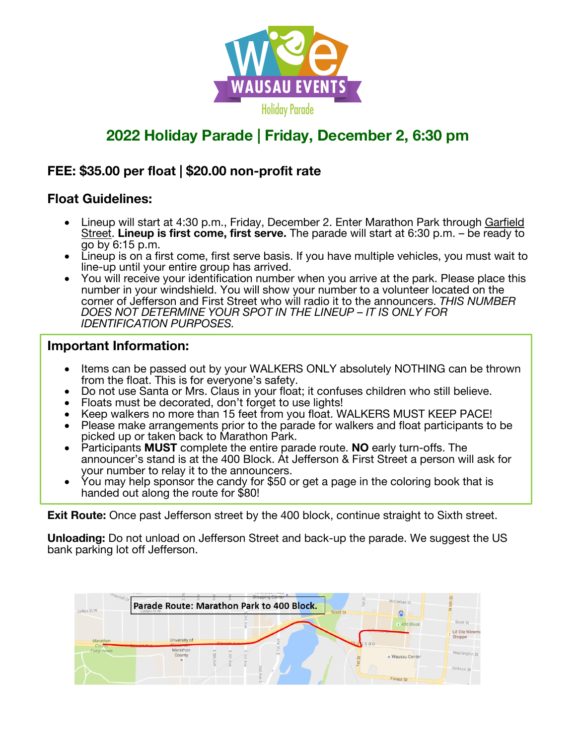

# **2022 Holiday Parade | Friday, December 2, 6:30 pm**

### **FEE: \$35.00 per float | \$20.00 non-profit rate**

### **Float Guidelines:**

- Lineup will start at 4:30 p.m., Friday, December 2. Enter Marathon Park through Garfield Street. Lineup is first come, first serve. The parade will start at 6:30 p.m. – be ready to go by 6:15 p.m.
- Lineup is on a first come, first serve basis. If you have multiple vehicles, you must wait to line-up until your entire group has arrived.
- You will receive your identification number when you arrive at the park. Please place this number in your windshield. You will show your number to a volunteer located on the corner of Jefferson and First Street who will radio it to the announcers. *THIS NUMBER DOES NOT DETERMINE YOUR SPOT IN THE LINEUP – IT IS ONLY FOR IDENTIFICATION PURPOSES.*

#### **Important Information:**

- Items can be passed out by your WALKERS ONLY absolutely NOTHING can be thrown from the float. This is for everyone's safety.
- Do not use Santa or Mrs. Claus in your float; it confuses children who still believe.
- Floats must be decorated, don't forget to use lights!
- Keep walkers no more than 15 feet from you float. WALKERS MUST KEEP PACE!
- Please make arrangements prior to the parade for walkers and float participants to be picked up or taken back to Marathon Park.
- Participants **MUST** complete the entire parade route. **NO** early turn-offs. The announcer's stand is at the 400 Block. At Jefferson & First Street a person will ask for your number to relay it to the announcers.
- You may help sponsor the candy for \$50 or get a page in the coloring book that is handed out along the route for \$80!

**Exit Route:** Once past Jefferson street by the 400 block, continue straight to Sixth street.

**Unloading:** Do not unload on Jefferson Street and back-up the parade. We suggest the US bank parking lot off Jefferson.

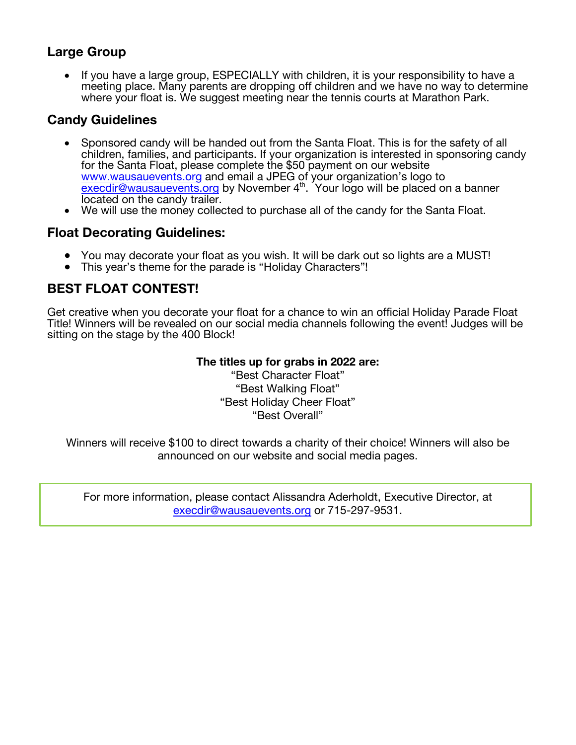### **Large Group**

• If you have a large group, ESPECIALLY with children, it is your responsibility to have a meeting place. Many parents are dropping off children and we have no way to determine where your float is. We suggest meeting near the tennis courts at Marathon Park.

# **Candy Guidelines**

- Sponsored candy will be handed out from the Santa Float. This is for the safety of all children, families, and participants. If your organization is interested in sponsoring candy for the Santa Float, please complete the \$50 payment on our website www.wausauevents.org and email a JPEG of your organization's logo to execdir@wausauevents.org by November 4<sup>th</sup>. Your logo will be placed on a banner located on the candy trailer.
- We will use the money collected to purchase all of the candy for the Santa Float.

### **Float Decorating Guidelines:**

- You may decorate your float as you wish. It will be dark out so lights are a MUST!
- This year's theme for the parade is "Holiday Characters"!

# **BEST FLOAT CONTEST!**

Get creative when you decorate your float for a chance to win an official Holiday Parade Float Title! Winners will be revealed on our social media channels following the event! Judges will be sitting on the stage by the 400 Block!

#### **The titles up for grabs in 2022 are:**

"Best Character Float" "Best Walking Float" "Best Holiday Cheer Float" "Best Overall"

Winners will receive \$100 to direct towards a charity of their choice! Winners will also be announced on our website and social media pages.

For more information, please contact Alissandra Aderholdt, Executive Director, at execdir@wausauevents.org or 715-297-9531.